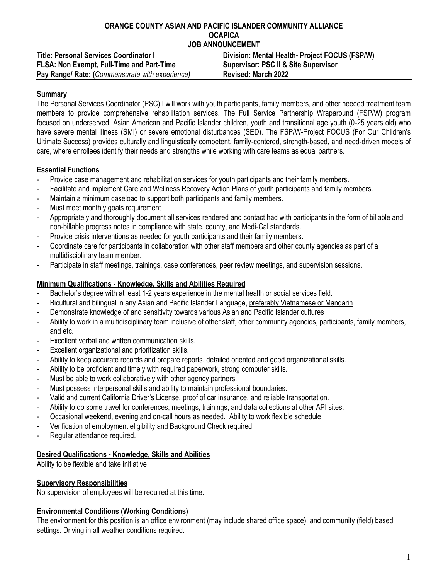#### **ORANGE COUNTY ASIAN AND PACIFIC ISLANDER COMMUNITY ALLIANCE OCAPICA JOB ANNOUNCEMENT**

| <b>Title: Personal Services Coordinator I</b>   | Division: Mental Health- Project FOCUS (FSP/W)  |
|-------------------------------------------------|-------------------------------------------------|
| FLSA: Non Exempt, Full-Time and Part-Time       | <b>Supervisor: PSC II &amp; Site Supervisor</b> |
| Pay Range/ Rate: (Commensurate with experience) | <b>Revised: March 2022</b>                      |

## **Summary**

The Personal Services Coordinator (PSC) I will work with youth participants, family members, and other needed treatment team members to provide comprehensive rehabilitation services. The Full Service Partnership Wraparound (FSP/W) program focused on underserved, Asian American and Pacific Islander children, youth and transitional age youth (0-25 years old) who have severe mental illness (SMI) or severe emotional disturbances (SED). The FSP/W-Project FOCUS (For Our Children's Ultimate Success) provides culturally and linguistically competent, family-centered, strength-based, and need-driven models of care, where enrollees identify their needs and strengths while working with care teams as equal partners.

# **Essential Functions**

- Provide case management and rehabilitation services for youth participants and their family members.
- Facilitate and implement Care and Wellness Recovery Action Plans of youth participants and family members.
- Maintain a minimum caseload to support both participants and family members.
- Must meet monthly goals requirement
- Appropriately and thoroughly document all services rendered and contact had with participants in the form of billable and non-billable progress notes in compliance with state, county, and Medi-Cal standards.
- Provide crisis interventions as needed for youth participants and their family members.
- Coordinate care for participants in collaboration with other staff members and other county agencies as part of a multidisciplinary team member.
- Participate in staff meetings, trainings, case conferences, peer review meetings, and supervision sessions.

### **Minimum Qualifications - Knowledge, Skills and Abilities Required**

- Bachelor's degree with at least 1-2 years experience in the mental health or social services field.
- Bicultural and bilingual in any Asian and Pacific Islander Language, preferably Vietnamese or Mandarin
- Demonstrate knowledge of and sensitivity towards various Asian and Pacific Islander cultures
- Ability to work in a multidisciplinary team inclusive of other staff, other community agencies, participants, family members, and etc.
- Excellent verbal and written communication skills.
- Excellent organizational and prioritization skills.
- Ability to keep accurate records and prepare reports, detailed oriented and good organizational skills.
- Ability to be proficient and timely with required paperwork, strong computer skills.
- Must be able to work collaboratively with other agency partners.
- Must possess interpersonal skills and ability to maintain professional boundaries.
- Valid and current California Driver's License, proof of car insurance, and reliable transportation.
- Ability to do some travel for conferences, meetings, trainings, and data collections at other API sites.
- Occasional weekend, evening and on-call hours as needed. Ability to work flexible schedule.
- Verification of employment eligibility and Background Check required.
- Regular attendance required.

### **Desired Qualifications - Knowledge, Skills and Abilities**

Ability to be flexible and take initiative

### **Supervisory Responsibilities**

No supervision of employees will be required at this time.

### **Environmental Conditions (Working Conditions)**

The environment for this position is an office environment (may include shared office space), and community (field) based settings. Driving in all weather conditions required.